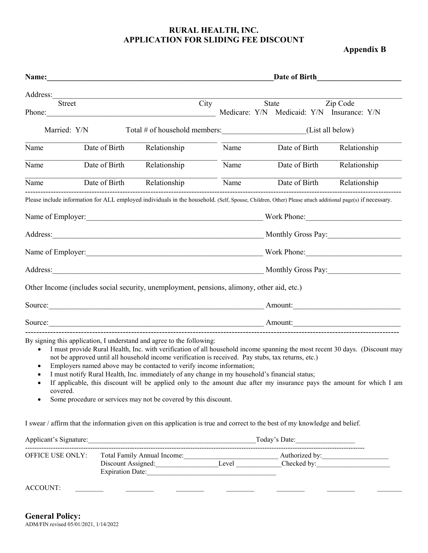# **RURAL HEALTH, INC. APPLICATION FOR SLIDING FEE DISCOUNT**

 **Appendix B**

| Name:                   |               |                                                                                                                                                                                                                                                                                                                                                                                                                                                                                                                                                                                                                                                                                  | Date of Birth |  |               |                                                        |  |  |  |  |
|-------------------------|---------------|----------------------------------------------------------------------------------------------------------------------------------------------------------------------------------------------------------------------------------------------------------------------------------------------------------------------------------------------------------------------------------------------------------------------------------------------------------------------------------------------------------------------------------------------------------------------------------------------------------------------------------------------------------------------------------|---------------|--|---------------|--------------------------------------------------------|--|--|--|--|
| Address:                |               |                                                                                                                                                                                                                                                                                                                                                                                                                                                                                                                                                                                                                                                                                  |               |  |               |                                                        |  |  |  |  |
| <b>Street</b><br>Phone: |               | City                                                                                                                                                                                                                                                                                                                                                                                                                                                                                                                                                                                                                                                                             |               |  | State         | Zip Code<br>Medicare: Y/N Medicaid: Y/N Insurance: Y/N |  |  |  |  |
| Married: Y/N            |               |                                                                                                                                                                                                                                                                                                                                                                                                                                                                                                                                                                                                                                                                                  |               |  |               |                                                        |  |  |  |  |
| Name                    | Date of Birth | Relationship                                                                                                                                                                                                                                                                                                                                                                                                                                                                                                                                                                                                                                                                     | Name          |  | Date of Birth | Relationship                                           |  |  |  |  |
| Name                    | Date of Birth | Relationship                                                                                                                                                                                                                                                                                                                                                                                                                                                                                                                                                                                                                                                                     | Name          |  | Date of Birth | Relationship                                           |  |  |  |  |
| Name                    |               | Date of Birth Relationship                                                                                                                                                                                                                                                                                                                                                                                                                                                                                                                                                                                                                                                       | Name          |  | Date of Birth | Relationship                                           |  |  |  |  |
|                         |               | Please include information for ALL employed individuals in the household. (Self, Spouse, Children, Other) Please attach additional page(s) if necessary.                                                                                                                                                                                                                                                                                                                                                                                                                                                                                                                         |               |  |               |                                                        |  |  |  |  |
|                         |               |                                                                                                                                                                                                                                                                                                                                                                                                                                                                                                                                                                                                                                                                                  |               |  |               |                                                        |  |  |  |  |
|                         |               | Address: Monthly Gross Pay: Monthly Gross Pay:                                                                                                                                                                                                                                                                                                                                                                                                                                                                                                                                                                                                                                   |               |  |               |                                                        |  |  |  |  |
|                         |               |                                                                                                                                                                                                                                                                                                                                                                                                                                                                                                                                                                                                                                                                                  |               |  |               |                                                        |  |  |  |  |
|                         |               |                                                                                                                                                                                                                                                                                                                                                                                                                                                                                                                                                                                                                                                                                  |               |  |               |                                                        |  |  |  |  |
|                         |               | Other Income (includes social security, unemployment, pensions, alimony, other aid, etc.)                                                                                                                                                                                                                                                                                                                                                                                                                                                                                                                                                                                        |               |  |               |                                                        |  |  |  |  |
|                         |               |                                                                                                                                                                                                                                                                                                                                                                                                                                                                                                                                                                                                                                                                                  |               |  |               |                                                        |  |  |  |  |
|                         |               |                                                                                                                                                                                                                                                                                                                                                                                                                                                                                                                                                                                                                                                                                  |               |  |               |                                                        |  |  |  |  |
| covered.                |               | By signing this application, I understand and agree to the following:<br>I must provide Rural Health, Inc. with verification of all household income spanning the most recent 30 days. (Discount may<br>not be approved until all household income verification is received. Pay stubs, tax returns, etc.)<br>Employers named above may be contacted to verify income information;<br>I must notify Rural Health, Inc. immediately of any change in my household's financial status;<br>If applicable, this discount will be applied only to the amount due after my insurance pays the amount for which I am<br>Some procedure or services may not be covered by this discount. |               |  |               |                                                        |  |  |  |  |
|                         |               | I swear / affirm that the information given on this application is true and correct to the best of my knowledge and belief.                                                                                                                                                                                                                                                                                                                                                                                                                                                                                                                                                      |               |  |               |                                                        |  |  |  |  |
|                         |               |                                                                                                                                                                                                                                                                                                                                                                                                                                                                                                                                                                                                                                                                                  |               |  |               |                                                        |  |  |  |  |
|                         |               | Expiration Date:                                                                                                                                                                                                                                                                                                                                                                                                                                                                                                                                                                                                                                                                 |               |  |               |                                                        |  |  |  |  |
| <b>ACCOUNT:</b>         |               | <u> 1989 - John Harry Harry Harry Harry Harry Harry Harry Harry Harry Harry Harry Harry Harry Harry Harry Harry Harry Harry Harry Harry Harry Harry Harry Harry Harry Harry Harry Harry Harry Harry Harry Harry Harry Harry Harr</u>                                                                                                                                                                                                                                                                                                                                                                                                                                             |               |  |               |                                                        |  |  |  |  |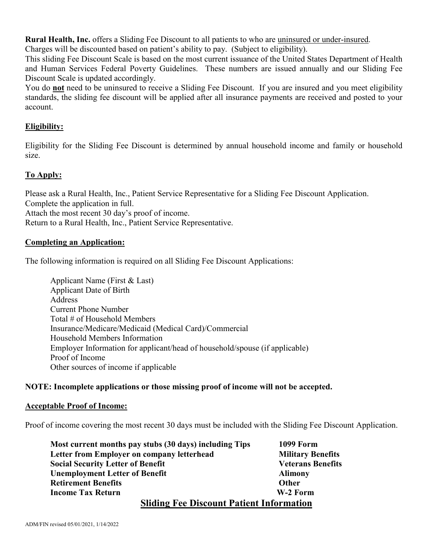**Rural Health, Inc.** offers a Sliding Fee Discount to all patients to who are uninsured or under-insured. Charges will be discounted based on patient's ability to pay. (Subject to eligibility).

This sliding Fee Discount Scale is based on the most current issuance of the United States Department of Health and Human Services Federal Poverty Guidelines. These numbers are issued annually and our Sliding Fee Discount Scale is updated accordingly.

You do **not** need to be uninsured to receive a Sliding Fee Discount. If you are insured and you meet eligibility standards, the sliding fee discount will be applied after all insurance payments are received and posted to your account.

# **Eligibility:**

Eligibility for the Sliding Fee Discount is determined by annual household income and family or household size.

# **To Apply:**

Please ask a Rural Health, Inc., Patient Service Representative for a Sliding Fee Discount Application. Complete the application in full. Attach the most recent 30 day's proof of income. Return to a Rural Health, Inc., Patient Service Representative.

# **Completing an Application:**

The following information is required on all Sliding Fee Discount Applications:

Applicant Name (First & Last) Applicant Date of Birth Address Current Phone Number Total # of Household Members Insurance/Medicare/Medicaid (Medical Card)/Commercial Household Members Information Employer Information for applicant/head of household/spouse (if applicable) Proof of Income Other sources of income if applicable

# **NOTE: Incomplete applications or those missing proof of income will not be accepted.**

# **Acceptable Proof of Income:**

Proof of income covering the most recent 30 days must be included with the Sliding Fee Discount Application.

| Most current months pay stubs (30 days) including Tips | <b>1099 Form</b>         |
|--------------------------------------------------------|--------------------------|
| Letter from Employer on company letterhead             | <b>Military Benefits</b> |
| <b>Social Security Letter of Benefit</b>               | <b>Veterans Benefits</b> |
| <b>Unemployment Letter of Benefit</b>                  | <b>Alimony</b>           |
| <b>Retirement Benefits</b>                             | <b>Other</b>             |
| <b>Income Tax Return</b>                               | W-2 Form                 |
| <b>Sliding Fee Discount Patient Information</b>        |                          |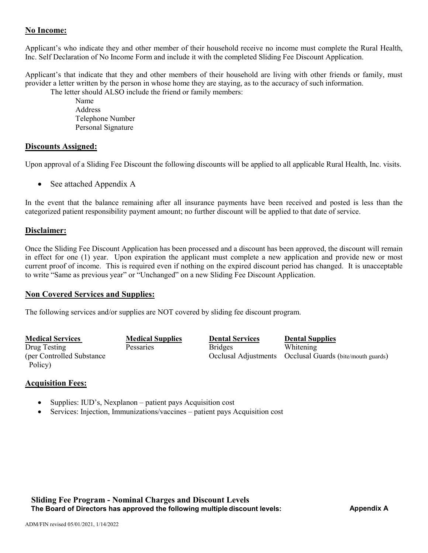# **No Income:**

Applicant's who indicate they and other member of their household receive no income must complete the Rural Health, Inc. Self Declaration of No Income Form and include it with the completed Sliding Fee Discount Application.

Applicant's that indicate that they and other members of their household are living with other friends or family, must provider a letter written by the person in whose home they are staying, as to the accuracy of such information.

The letter should ALSO include the friend or family members:

Name Address Telephone Number Personal Signature

# **Discounts Assigned:**

Upon approval of a Sliding Fee Discount the following discounts will be applied to all applicable Rural Health, Inc. visits.

• See attached Appendix A

In the event that the balance remaining after all insurance payments have been received and posted is less than the categorized patient responsibility payment amount; no further discount will be applied to that date of service.

### **Disclaimer:**

Once the Sliding Fee Discount Application has been processed and a discount has been approved, the discount will remain in effect for one (1) year. Upon expiration the applicant must complete a new application and provide new or most current proof of income. This is required even if nothing on the expired discount period has changed. It is unacceptable to write "Same as previous year" or "Unchanged" on a new Sliding Fee Discount Application.

### **Non Covered Services and Supplies:**

The following services and/or supplies are NOT covered by sliding fee discount program.

| <b>Medical Services</b>    | <b>Medical Supplies</b> | <b>Dental Services</b> | <b>Dental Supplies</b>                                   |
|----------------------------|-------------------------|------------------------|----------------------------------------------------------|
| Drug Testing               | Pessaries               | <b>Bridges</b>         | Whitening                                                |
| (per Controlled Substance) |                         |                        | Occlusal Adjustments Occlusal Guards (bite/mouth guards) |
| Policy)                    |                         |                        |                                                          |

### **Acquisition Fees:**

- Supplies: IUD's, Nexplanon patient pays Acquisition cost
- Services: Injection, Immunizations/vaccines patient pays Acquisition cost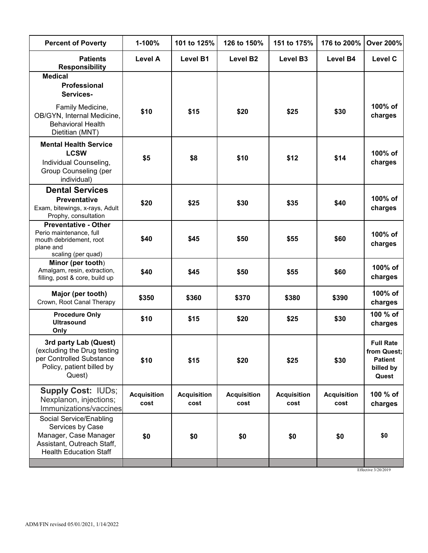| <b>Percent of Poverty</b>                                                                                                           | 1-100%                     | 101 to 125%                | 126 to 150%                | 151 to 175%                | 176 to 200%                | <b>Over 200%</b>                                                        |
|-------------------------------------------------------------------------------------------------------------------------------------|----------------------------|----------------------------|----------------------------|----------------------------|----------------------------|-------------------------------------------------------------------------|
| <b>Patients</b><br><b>Responsibility</b>                                                                                            | <b>Level A</b>             | <b>Level B1</b>            | Level B <sub>2</sub>       | Level B <sub>3</sub>       | <b>Level B4</b>            | <b>Level C</b>                                                          |
| <b>Medical</b><br><b>Professional</b><br>Services-                                                                                  |                            |                            |                            |                            |                            |                                                                         |
| Family Medicine,<br>OB/GYN, Internal Medicine,<br><b>Behavioral Health</b><br>Dietitian (MNT)                                       | \$10                       | \$15                       | \$20                       | \$25                       | \$30                       | 100% of<br>charges                                                      |
| <b>Mental Health Service</b><br><b>LCSW</b><br>Individual Counseling,<br>Group Counseling (per<br>individual)                       | \$5                        | \$8                        | \$10                       | \$12                       | \$14                       | 100% of<br>charges                                                      |
| <b>Dental Services</b><br><b>Preventative</b><br>Exam, bitewings, x-rays, Adult<br>Prophy, consultation                             | \$20                       | \$25                       | \$30                       | \$35<br>\$40               |                            | 100% of<br>charges                                                      |
| <b>Preventative - Other</b><br>Perio maintenance, full<br>mouth debridement, root<br>plane and<br>scaling (per quad)                | \$40                       | \$45                       | \$50                       | \$55                       | \$60                       | 100% of<br>charges                                                      |
| Minor (per tooth)<br>Amalgam, resin, extraction,<br>filling, post & core, build up                                                  | \$40                       | \$45                       | \$50                       | \$55                       | \$60                       | 100% of<br>charges                                                      |
| Major (per tooth)<br>\$350<br>Crown, Root Canal Therapy                                                                             |                            | \$360                      | \$370                      | \$380                      | \$390                      | 100% of<br>charges                                                      |
| <b>Procedure Only</b><br><b>Ultrasound</b><br>Only                                                                                  | \$10                       | \$15                       | \$20                       | \$25                       | \$30                       | 100 % of<br>charges                                                     |
| 3rd party Lab (Quest)<br>(excluding the Drug testing<br>per Controlled Substance<br>Policy, patient billed by<br>Quest)             | \$10                       | \$15                       | \$20                       | \$25                       | \$30                       | <b>Full Rate</b><br>from Quest;<br><b>Patient</b><br>billed by<br>Quest |
| <b>Supply Cost: IUDs;</b><br>Nexplanon, injections;<br>Immunizations/vaccines                                                       | <b>Acquisition</b><br>cost | <b>Acquisition</b><br>cost | <b>Acquisition</b><br>cost | <b>Acquisition</b><br>cost | <b>Acquisition</b><br>cost | 100 % of<br>charges                                                     |
| Social Service/Enabling<br>Services by Case<br>Manager, Case Manager<br>Assistant, Outreach Staff,<br><b>Health Education Staff</b> | \$0                        | \$0                        | \$0                        | \$0                        | \$0                        | \$0                                                                     |
|                                                                                                                                     |                            |                            |                            |                            |                            |                                                                         |

Effective 3/20/2019